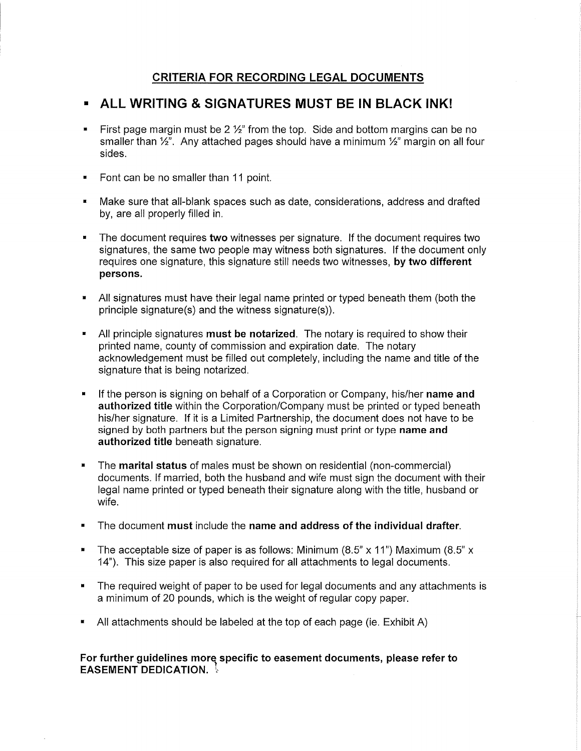# **CRITERIA FOR RECORDING LEGAL DOCUMENTS**

# • **ALL WRITING & SIGNATURES MUST BE IN BLACK INK!**

- First page margin must be 2  $\frac{1}{2}$ " from the top. Side and bottom margins can be no smaller than  $\frac{1}{2}$ . Any attached pages should have a minimum  $\frac{1}{2}$ " margin on all four sides.
- Font can be no smaller than 11 point.
- Make sure that all-blank spaces such as date, considerations, address and drafted by, are all properly filled in.
- The document requires **two** witnesses per signature. If the document requires two signatures, the same two people may witness both signatures. If the document only requires one signature, this signature still needs two witnesses, **by two different persons.**
- All signatures must have their legal name printed or typed beneath them (both the principle signature(s) and the witness signature(s)).
- All principle signatures **must be notarized.** The notary is required to show their printed name, county of commission and expiration date. The notary acknowledgement must be filled out completely, including the name and title of the signature that is being notarized.
- If the person is signing on behalf of a Corporation or Company, his/her **name and authorized title** within the Corporation/Company must be printed or typed beneath his/her signature. If it is a Limited Partnership, the document does not have to be signed by both partners but the person signing must print or type **name and authorized title** beneath signature.
- The **marital status** of males must be shown on residential (non-commercial) documents. If married, both the husband and wife must sign the document with their legal name printed or typed beneath their signature along with the title, husband or wife.
- The document **must** include the **name and address of the individual drafter.**
- The acceptable size of paper is as follows: Minimum  $(8.5" \times 11")$  Maximum  $(8.5" \times 11')$ 14"). This size paper is also required for all attachments to legal documents.
- The required weight of paper to be used for legal documents and any attachments is a minimum of 20 pounds, which is the weight of regular copy paper.
- All attachments should be labeled at the top of each page (ie. Exhibit A)

**For further guidelines more specific to easement documents, please refer to EASEMENT DEDICATION.**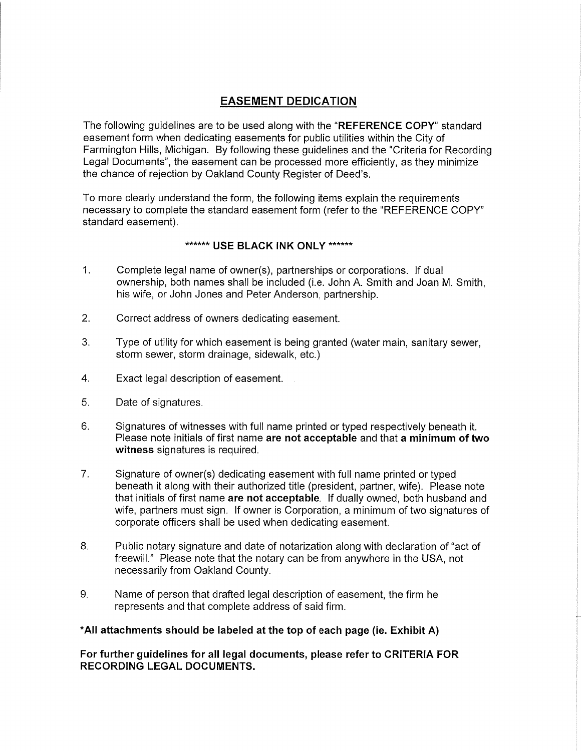# **EASEMENT DEDICATION**

The following guidelines are to be used along with the **"REFERENCE COPY"** standard easement form when dedicating easements for public utilities within the City of Farmington Hills, Michigan. By following these guidelines and the "Criteria for Recording Legal Documents", the easement can be processed more efficiently, as they minimize the chance of rejection by Oakland County Register of Deed's.

To more clearly understand the form, the following items explain the requirements necessary to complete the standard easement form (refer to the "REFERENCE COPY" standard easement).

# \*\*\*\*\*\* **USE BLACK INK ONLY** \*\*\*\*\*\*

- 1. Complete legal name of owner(s), partnerships or corporations. If dual ownership, both names shall be included (i.e. John A. Smith and Joan M. Smith, his wife, or John Jones and Peter Anderson, partnership.
- 2. Correct address of owners dedicating easement.
- 3. Type of utility for which easement is being granted (water main, sanitary sewer, storm sewer, storm drainage, sidewalk, etc.)
- 4. Exact legal description of easement.
- 5. Date of signatures.
- 6. Signatures of witnesses with full name printed or typed respectively beneath it. Please note initials of first name **are not acceptable** and that **a minimum of two witness** signatures is required.
- 7. Signature of owner(s) dedicating easement with full name printed or typed beneath it along with their authorized title (president, partner, wife). Please note that initials of first name **are not acceptable.** If dually owned, both husband and wife, partners must sign. If owner is Corporation, a minimum of two signatures of corporate officers shall be used when dedicating easement.
- 8. Public notary signature and date of notarization along with declaration of "act of freewill." Please note that the notary can be from anywhere in the USA, not necessarily from Oakland County.
- 9. Name of person that drafted legal description of easement, the firm he represents and that complete address of said firm.

## **\*All attachments should be labeled at the top of each page (ie. Exhibit A)**

**For further guidelines for all legal documents, please refer to CRITERIA FOR RECORDING LEGAL DOCUMENTS.**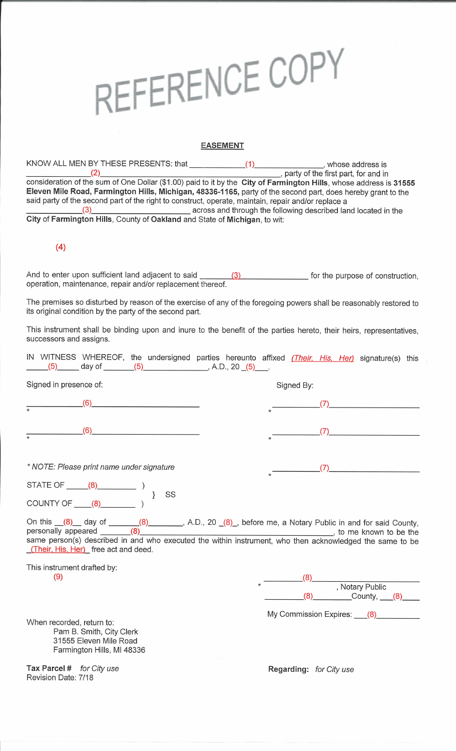# REFERENCE COPY

### **EASEMENT**

KNOW ALL MEN BY THESE PRESENTS: that \_\_\_\_\_\_\_\_\_\_\_\_\_\_\_(1) \_\_\_\_\_\_\_\_\_\_\_\_\_\_\_\_, whose address is \_\_\_\_\_\_\_ (2) , party of the first part, for and in consideration of the sum of One Dollar (\$1.00) paid to it by the **City of Farmington Hills,** whose address is **31555 Eleven Mile Road, Farmington Hills, Michigan, 48336-1165,** party of the second part, does hereby grant to the said party of the second part of the right to construct, operate, maintain, repair and/or replace a (3) **across and through the following described land located in the City of Farmington Hills,** County of **Oakland** and State of **Michigan,** to wit:

# **(4)**

And to enter upon sufficient land adjacent to said \_\_\_ ........=, <sup>3</sup>..\_\_\_ \_\_\_\_\_\_ for the purpose of construction, operation, maintenance, repair and/or replacement thereof.

The premises so disturbed by reason of the exercise of any of the foregoing powers shall be reasonably restored to its original condition by the party of the second part.

This instrument shall be binding upon and inure to the benefit of the parties hereto, their heirs, representatives, successors and assigns.

| IN WITNESS WHEREOF, the undersigned parties hereunto affixed (Their, His, Her) signature(s) this<br>(5) day of <u>(5)</u> (5) A.D., 20 (5)                                                                                                                                          |                                             |
|-------------------------------------------------------------------------------------------------------------------------------------------------------------------------------------------------------------------------------------------------------------------------------------|---------------------------------------------|
| Signed in presence of:                                                                                                                                                                                                                                                              | Signed By:                                  |
| (6)<br>$\overline{\ast}$                                                                                                                                                                                                                                                            |                                             |
| (6)                                                                                                                                                                                                                                                                                 | (7)                                         |
| * NOTE: Please print name under signature                                                                                                                                                                                                                                           | (7)                                         |
| STATE OF $\qquad (8)$ (3)                                                                                                                                                                                                                                                           |                                             |
| SS<br>COUNTY OF $(8)$ (3)                                                                                                                                                                                                                                                           |                                             |
| On this $(8)$ day of $(8)$ (8) $(8)$ A.D., 20 (8), before me, a Notary Public in and for said County, personally appeared $(8)$<br>same person(s) described in and who executed the within instrument, who then acknowledged the same to be<br>(Their, His, Her) free act and deed. |                                             |
| This instrument drafted by:<br>(9)                                                                                                                                                                                                                                                  | (8)<br>Rotary Public<br>$(8)$ County, $(8)$ |
| When recorded, return to:<br>Pam B. Smith, City Clerk<br>31555 Eleven Mile Road<br>Farmington Hills, MI 48336                                                                                                                                                                       | My Commission Expires: (8)                  |
| Tax Parcel # for City use<br>Revision Date: 7/18                                                                                                                                                                                                                                    | Regarding: for City use                     |